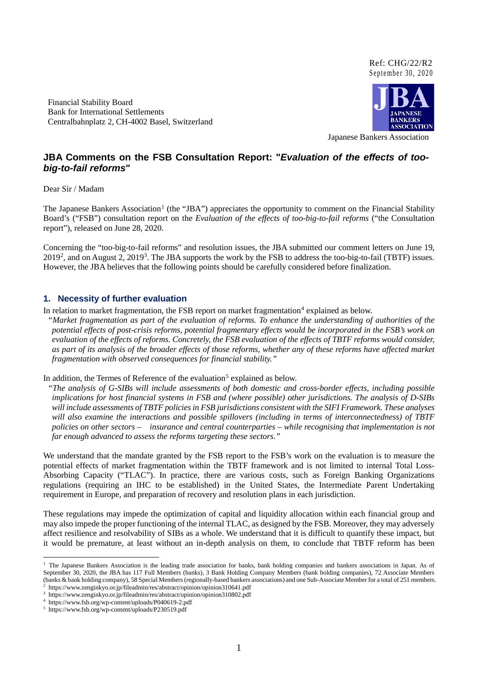#### Ref: CHG/22/R2 September 30, 2020

Financial Stability Board Bank for International Settlements Centralbahnplatz 2, CH-4002 Basel, Switzerland



Japanese Bankers Association

# **JBA Comments on the FSB Consultation Report: "***Evaluation of the effects of toobig-to-fail reforms***"**

Dear Sir / Madam

The Japanese Bankers Association<sup>[1](#page-0-0)</sup> (the "JBA") appreciates the opportunity to comment on the Financial Stability Board's ("FSB") consultation report on the *Evaluation of the effects of too-big-to-fail reforms* ("the Consultation report"), released on June 28, 2020.

Concerning the "too-big-to-fail reforms" and resolution issues, the JBA submitted our comment letters on June 19, 2019<sup>2</sup>, and on August 2, 2019<sup>[3](#page-0-2)</sup>. The JBA supports the work by the FSB to address the too-big-to-fail (TBTF) issues. However, the JBA believes that the following points should be carefully considered before finalization.

#### **1. Necessity of further evaluation**

In relation to market fragmentation, the FSB report on market fragmentation $4 \text{ explanation}$  $4 \text{ explanation}$  explained as below.

*"Market fragmentation as part of the evaluation of reforms. To enhance the understanding of authorities of the potential effects of post-crisis reforms, potential fragmentary effects would be incorporated in the FSB's work on evaluation of the effects of reforms. Concretely, the FSB evaluation of the effects of TBTF reforms would consider, as part of its analysis of the broader effects of those reforms, whether any of these reforms have affected market fragmentation with observed consequences for financial stability."*

In addition, the Termes of Reference of the evaluation<sup>[5](#page-0-4)</sup> explained as below.

*"The analysis of G-SIBs will include assessments of both domestic and cross-border effects, including possible implications for host financial systems in FSB and (where possible) other jurisdictions. The analysis of D-SIBs will include assessments of TBTF policies in FSB jurisdictions consistent with the SIFI Framework. These analyses will also examine the interactions and possible spillovers (including in terms of interconnectedness) of TBTF policies on other sectors – insurance and central counterparties – while recognising that implementation is not far enough advanced to assess the reforms targeting these sectors."*

We understand that the mandate granted by the FSB report to the FSB's work on the evaluation is to measure the potential effects of market fragmentation within the TBTF framework and is not limited to internal Total Loss-Absorbing Capacity ("TLAC"). In practice, there are various costs, such as Foreign Banking Organizations regulations (requiring an IHC to be established) in the United States, the Intermediate Parent Undertaking requirement in Europe, and preparation of recovery and resolution plans in each jurisdiction.

These regulations may impede the optimization of capital and liquidity allocation within each financial group and may also impede the proper functioning of the internal TLAC, as designed by the FSB. Moreover, they may adversely affect resilience and resolvability of SIBs as a whole. We understand that it is difficult to quantify these impact, but it would be premature, at least without an in-depth analysis on them, to conclude that TBTF reform has been

<span id="page-0-0"></span><sup>&</sup>lt;sup>1</sup> The Japanese Bankers Association is the leading trade association for banks, bank holding companies and bankers associations in Japan. As of September 30, 2020, the JBA has 117 Full Members (banks), 3 Bank Holding Company Members (bank holding companies), 72 Associate Members (banks & bank holding company), 58 Special Members (regionally-based bankers associations) and one Sub-Associate Member for a total of 251 members.

<span id="page-0-1"></span><sup>2</sup> https://www.zenginkyo.or.jp/fileadmin/res/abstract/opinion/opinion310641.pdf

<span id="page-0-2"></span><sup>3</sup> https://www.zenginkyo.or.jp/fileadmin/res/abstract/opinion/opinion310802.pdf

https://www.fsb.org/wp-content/uploads/P040619-2.pdf

<span id="page-0-4"></span><span id="page-0-3"></span><sup>5</sup> https://www.fsb.org/wp-content/uploads/P230519.pdf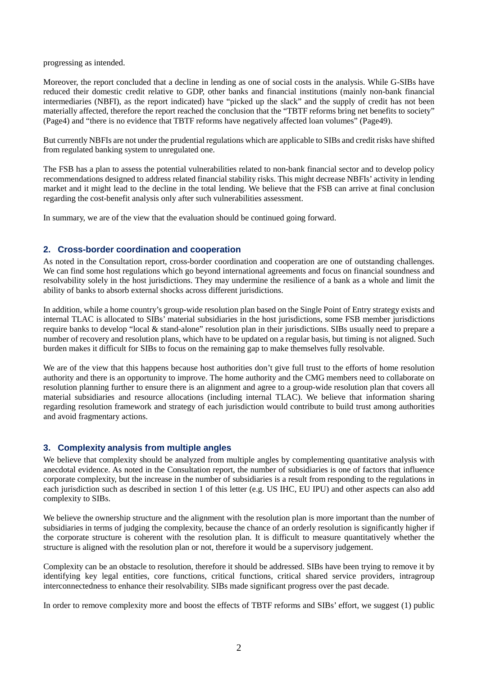progressing as intended.

Moreover, the report concluded that a decline in lending as one of social costs in the analysis. While G-SIBs have reduced their domestic credit relative to GDP, other banks and financial institutions (mainly non-bank financial intermediaries (NBFI), as the report indicated) have "picked up the slack" and the supply of credit has not been materially affected, therefore the report reached the conclusion that the "TBTF reforms bring net benefits to society" (Page4) and "there is no evidence that TBTF reforms have negatively affected loan volumes" (Page49).

But currently NBFIs are not under the prudential regulations which are applicable to SIBs and credit risks have shifted from regulated banking system to unregulated one.

The FSB has a plan to assess the potential vulnerabilities related to non-bank financial sector and to develop policy recommendations designed to address related financial stability risks. This might decrease NBFIs' activity in lending market and it might lead to the decline in the total lending. We believe that the FSB can arrive at final conclusion regarding the cost-benefit analysis only after such vulnerabilities assessment.

In summary, we are of the view that the evaluation should be continued going forward.

### **2. Cross-border coordination and cooperation**

As noted in the Consultation report, cross-border coordination and cooperation are one of outstanding challenges. We can find some host regulations which go beyond international agreements and focus on financial soundness and resolvability solely in the host jurisdictions. They may undermine the resilience of a bank as a whole and limit the ability of banks to absorb external shocks across different jurisdictions.

In addition, while a home country's group-wide resolution plan based on the Single Point of Entry strategy exists and internal TLAC is allocated to SIBs' material subsidiaries in the host jurisdictions, some FSB member jurisdictions require banks to develop "local & stand-alone" resolution plan in their jurisdictions. SIBs usually need to prepare a number of recovery and resolution plans, which have to be updated on a regular basis, but timing is not aligned. Such burden makes it difficult for SIBs to focus on the remaining gap to make themselves fully resolvable.

We are of the view that this happens because host authorities don't give full trust to the efforts of home resolution authority and there is an opportunity to improve. The home authority and the CMG members need to collaborate on resolution planning further to ensure there is an alignment and agree to a group-wide resolution plan that covers all material subsidiaries and resource allocations (including internal TLAC). We believe that information sharing regarding resolution framework and strategy of each jurisdiction would contribute to build trust among authorities and avoid fragmentary actions.

### **3. Complexity analysis from multiple angles**

We believe that complexity should be analyzed from multiple angles by complementing quantitative analysis with anecdotal evidence. As noted in the Consultation report, the number of subsidiaries is one of factors that influence corporate complexity, but the increase in the number of subsidiaries is a result from responding to the regulations in each jurisdiction such as described in section 1 of this letter (e.g. US IHC, EU IPU) and other aspects can also add complexity to SIBs.

We believe the ownership structure and the alignment with the resolution plan is more important than the number of subsidiaries in terms of judging the complexity, because the chance of an orderly resolution is significantly higher if the corporate structure is coherent with the resolution plan. It is difficult to measure quantitatively whether the structure is aligned with the resolution plan or not, therefore it would be a supervisory judgement.

Complexity can be an obstacle to resolution, therefore it should be addressed. SIBs have been trying to remove it by identifying key legal entities, core functions, critical functions, critical shared service providers, intragroup interconnectedness to enhance their resolvability. SIBs made significant progress over the past decade.

In order to remove complexity more and boost the effects of TBTF reforms and SIBs' effort, we suggest (1) public